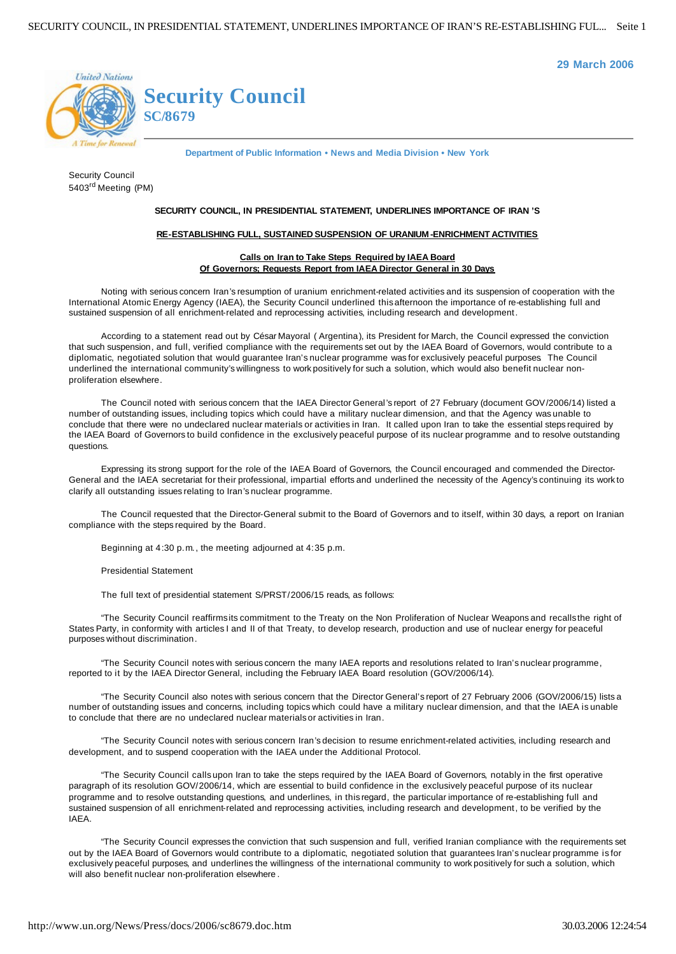**29 March 2006**



**Department of Public Information • News and Media Division • New York**

Security Council 5403rd Meeting (PM)

## **SECURITY COUNCIL, IN PRESIDENTIAL STATEMENT, UNDERLINES IMPORTANCE OF IRAN 'S**

## **RE-ESTABLISHING FULL, SUSTAINED SUSPENSION OF URANIUM -ENRICHMENT ACTIVITIES**

## **Calls on Iran to Take Steps Required by IAEA Board Of Governors; Requests Report from IAEA Director General in 30 Days**

Noting with serious concern Iran's resumption of uranium enrichment-related activities and its suspension of cooperation with the International Atomic Energy Agency (IAEA), the Security Council underlined this afternoon the importance of re-establishing full and sustained suspension of all enrichment-related and reprocessing activities, including research and development.

According to a statement read out by César Mayoral ( Argentina), its President for March, the Council expressed the conviction that such suspension, and full, verified compliance with the requirements set out by the IAEA Board of Governors, would contribute to a diplomatic, negotiated solution that would guarantee Iran's nuclear programme was for exclusively peaceful purposes. The Council underlined the international community's willingness to work positively for such a solution, which would also benefit nuclear nonproliferation elsewhere.

The Council noted with serious concern that the IAEA Director General's report of 27 February (document GOV/2006/14) listed a number of outstanding issues, including topics which could have a military nuclear dimension, and that the Agency was unable to conclude that there were no undeclared nuclear materials or activities in Iran. It called upon Iran to take the essential steps required by the IAEA Board of Governors to build confidence in the exclusively peaceful purpose of its nuclear programme and to resolve outstanding questions.

Expressing its strong support for the role of the IAEA Board of Governors, the Council encouraged and commended the Director-General and the IAEA secretariat for their professional, impartial efforts and underlined the necessity of the Agency's continuing its work to clarify all outstanding issues relating to Iran's nuclear programme.

The Council requested that the Director-General submit to the Board of Governors and to itself, within 30 days, a report on Iranian compliance with the steps required by the Board.

Beginning at 4:30 p.m., the meeting adjourned at 4:35 p.m.

Presidential Statement

The full text of presidential statement S/PRST/2006/15 reads, as follows:

"The Security Council reaffirmsits commitment to the Treaty on the Non Proliferation of Nuclear Weapons and recallsthe right of States Party, in conformity with articles I and II of that Treaty, to develop research, production and use of nuclear energy for peaceful purposes without discrimination.

"The Security Council notes with serious concern the many IAEA reports and resolutions related to Iran's nuclear programme, reported to it by the IAEA Director General, including the February IAEA Board resolution (GOV/2006/14).

"The Security Council also notes with serious concern that the Director General's report of 27 February 2006 (GOV/2006/15) lists a number of outstanding issues and concerns, including topics which could have a military nuclear dimension, and that the IAEA is unable to conclude that there are no undeclared nuclear materialsor activities in Iran.

"The Security Council notes with serious concern Iran's decision to resume enrichment-related activities, including research and development, and to suspend cooperation with the IAEA under the Additional Protocol.

"The Security Council callsupon Iran to take the steps required by the IAEA Board of Governors, notably in the first operative paragraph of its resolution GOV/2006/14, which are essential to build confidence in the exclusively peaceful purpose of its nuclear programme and to resolve outstanding questions, and underlines, in this regard, the particular importance of re-establishing full and sustained suspension of all enrichment-related and reprocessing activities, including research and development, to be verified by the IAEA.

"The Security Council expresses the conviction that such suspension and full, verified Iranian compliance with the requirements set out by the IAEA Board of Governors would contribute to a diplomatic, negotiated solution that guarantees Iran's nuclear programme is for exclusively peaceful purposes, and underlines the willingness of the international community to work positively for such a solution, which will also benefit nuclear non-proliferation elsewhere .